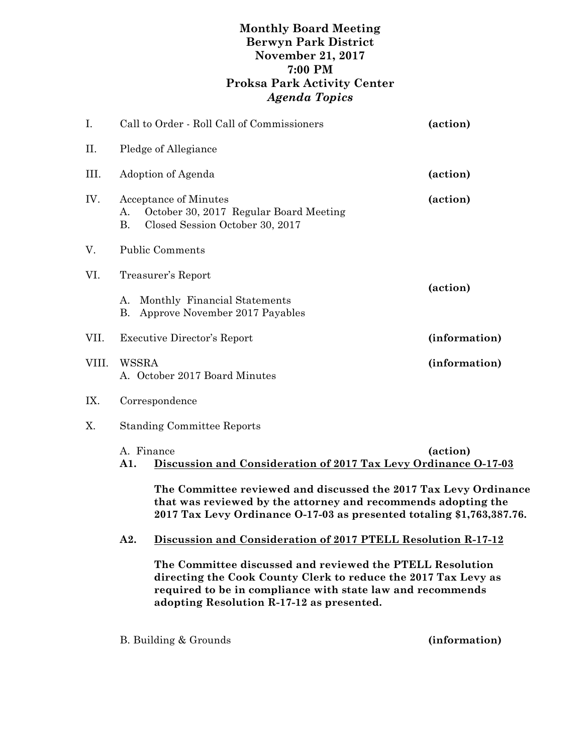## **Monthly Board Meeting Berwyn Park District November 21, 2017 7:00 PM Proksa Park Activity Center** *Agenda Topics*

| I.    | Call to Order - Roll Call of Commissioners                                                                                                                                                                 |                                                                                                           | (action) |  |
|-------|------------------------------------------------------------------------------------------------------------------------------------------------------------------------------------------------------------|-----------------------------------------------------------------------------------------------------------|----------|--|
| Η.    | Pledge of Allegiance                                                                                                                                                                                       |                                                                                                           |          |  |
| Ш.    | Adoption of Agenda                                                                                                                                                                                         |                                                                                                           | (action) |  |
| IV.   | А.<br><b>B.</b>                                                                                                                                                                                            | <b>Acceptance of Minutes</b><br>October 30, 2017 Regular Board Meeting<br>Closed Session October 30, 2017 | (action) |  |
| V.    | <b>Public Comments</b>                                                                                                                                                                                     |                                                                                                           |          |  |
| VI.   |                                                                                                                                                                                                            | Treasurer's Report                                                                                        |          |  |
|       | А.<br>Β.                                                                                                                                                                                                   | Monthly Financial Statements<br>Approve November 2017 Payables                                            | (action) |  |
| VII.  |                                                                                                                                                                                                            | <b>Executive Director's Report</b><br>(information)                                                       |          |  |
| VIII. | WSSRA<br>(information)<br>A. October 2017 Board Minutes                                                                                                                                                    |                                                                                                           |          |  |
| IX.   | Correspondence                                                                                                                                                                                             |                                                                                                           |          |  |
| Χ.    | <b>Standing Committee Reports</b>                                                                                                                                                                          |                                                                                                           |          |  |
|       | A. Finance<br>(action)<br>Discussion and Consideration of 2017 Tax Levy Ordinance 0-17-03<br>A1.                                                                                                           |                                                                                                           |          |  |
|       | The Committee reviewed and discussed the 2017 Tax Levy Ordinance<br>that was reviewed by the attorney and recommends adopting the<br>2017 Tax Levy Ordinance 0-17-03 as presented totaling \$1,763,387.76. |                                                                                                           |          |  |
|       | A2.                                                                                                                                                                                                        | Discussion and Consideration of 2017 PTELL Resolution R-17-12                                             |          |  |

**The Committee discussed and reviewed the PTELL Resolution directing the Cook County Clerk to reduce the 2017 Tax Levy as required to be in compliance with state law and recommends adopting Resolution R-17-12 as presented.**

B. Building & Grounds **(information)**